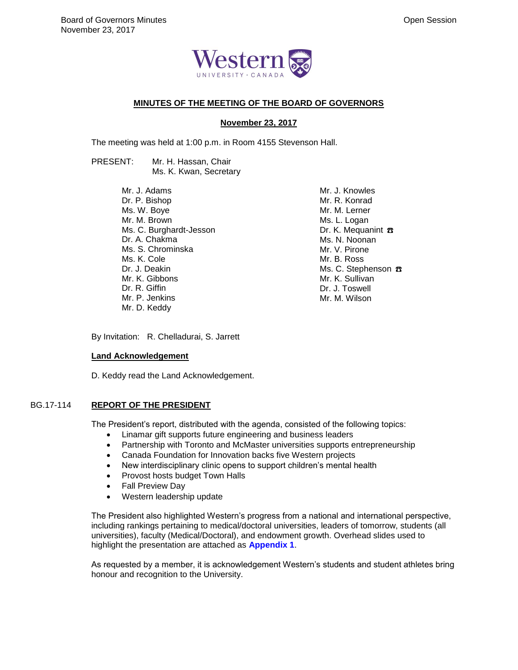

## **MINUTES OF THE MEETING OF THE BOARD OF GOVERNORS**

#### **November 23, 2017**

The meeting was held at 1:00 p.m. in Room 4155 Stevenson Hall.

PRESENT: Mr. H. Hassan, Chair Ms. K. Kwan, Secretary

> Mr. J. Adams Dr. P. Bishop Ms. W. Boye Mr. M. Brown Ms. C. Burghardt-Jesson Dr. A. Chakma Ms. S. Chrominska Ms. K. Cole Dr. J. Deakin Mr. K. Gibbons Dr. R. Giffin Mr. P. Jenkins Mr. D. Keddy

Mr. J. Knowles Mr. R. Konrad Mr. M. Lerner Ms. L. Logan Dr. K. Mequanint **B** Ms. N. Noonan Mr. V. Pirone Mr. B. Ross Ms. C. Stephenson **B** Mr. K. Sullivan Dr. J. Toswell Mr. M. Wilson

By Invitation: R. Chelladurai, S. Jarrett

#### **Land Acknowledgement**

D. Keddy read the Land Acknowledgement.

# BG.17-114 **REPORT OF THE PRESIDENT**

The President's report, distributed with the agenda, consisted of the following topics:

- Linamar gift supports future engineering and business leaders
- Partnership with Toronto and McMaster universities supports entrepreneurship
- Canada Foundation for Innovation backs five Western projects
- New interdisciplinary clinic opens to support children's mental health
- Provost hosts budget Town Halls
- Fall Preview Day
- Western leadership update

The President also highlighted Western's progress from a national and international perspective, including rankings pertaining to medical/doctoral universities, leaders of tomorrow, students (all universities), faculty (Medical/Doctoral), and endowment growth. Overhead slides used to highlight the presentation are attached as **Appendix 1**.

As requested by a member, it is acknowledgement Western's students and student athletes bring honour and recognition to the University.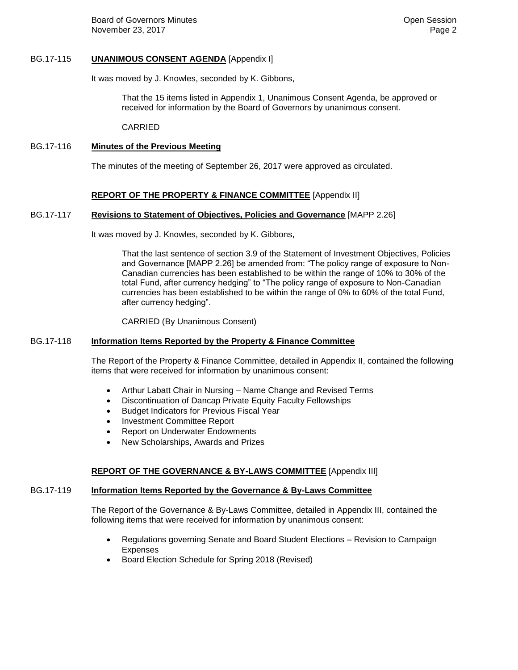Board of Governors Minutes **Contract Contract Contract Contract Contract Contract Contract Contract Contract Contract Contract Contract Contract Contract Contract Contract Contract Contract Contract Contract Contract Contr** November 23, 2017 **Page 2 Page 2** 

## BG.17-115 **UNANIMOUS CONSENT AGENDA** [Appendix I]

It was moved by J. Knowles, seconded by K. Gibbons,

That the 15 items listed in Appendix 1, Unanimous Consent Agenda, be approved or received for information by the Board of Governors by unanimous consent.

CARRIED

## BG.17-116 **Minutes of the Previous Meeting**

The minutes of the meeting of September 26, 2017 were approved as circulated.

# **REPORT OF THE PROPERTY & FINANCE COMMITTEE** [Appendix II]

## BG.17-117 **Revisions to Statement of Objectives, Policies and Governance** [MAPP 2.26]

It was moved by J. Knowles, seconded by K. Gibbons,

That the last sentence of section 3.9 of the Statement of Investment Objectives, Policies and Governance [MAPP 2.26] be amended from: "The policy range of exposure to Non-Canadian currencies has been established to be within the range of 10% to 30% of the total Fund, after currency hedging" to "The policy range of exposure to Non-Canadian currencies has been established to be within the range of 0% to 60% of the total Fund, after currency hedging".

CARRIED (By Unanimous Consent)

## BG.17-118 **Information Items Reported by the Property & Finance Committee**

The Report of the Property & Finance Committee, detailed in Appendix II, contained the following items that were received for information by unanimous consent:

- Arthur Labatt Chair in Nursing Name Change and Revised Terms
- Discontinuation of Dancap Private Equity Faculty Fellowships
- **•** Budget Indicators for Previous Fiscal Year
- Investment Committee Report
- Report on Underwater Endowments
- New Scholarships, Awards and Prizes

## **REPORT OF THE GOVERNANCE & BY-LAWS COMMITTEE** [Appendix III]

### BG.17-119 **Information Items Reported by the Governance & By-Laws Committee**

The Report of the Governance & By-Laws Committee, detailed in Appendix III, contained the following items that were received for information by unanimous consent:

- Regulations governing Senate and Board Student Elections Revision to Campaign **Expenses**
- Board Election Schedule for Spring 2018 (Revised)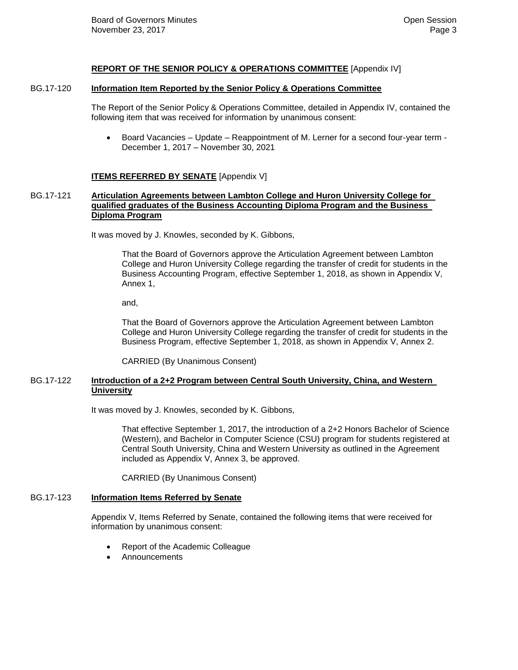## **REPORT OF THE SENIOR POLICY & OPERATIONS COMMITTEE** [Appendix IV]

## BG.17-120 **Information Item Reported by the Senior Policy & Operations Committee**

The Report of the Senior Policy & Operations Committee, detailed in Appendix IV, contained the following item that was received for information by unanimous consent:

 Board Vacancies – Update – Reappointment of M. Lerner for a second four-year term - December 1, 2017 – November 30, 2021

## **ITEMS REFERRED BY SENATE** [Appendix V]

## BG.17-121 **Articulation Agreements between Lambton College and Huron University College for qualified graduates of the Business Accounting Diploma Program and the Business Diploma Program**

It was moved by J. Knowles, seconded by K. Gibbons,

That the Board of Governors approve the Articulation Agreement between Lambton College and Huron University College regarding the transfer of credit for students in the Business Accounting Program, effective September 1, 2018, as shown in Appendix V, Annex 1,

and,

That the Board of Governors approve the Articulation Agreement between Lambton College and Huron University College regarding the transfer of credit for students in the Business Program, effective September 1, 2018, as shown in Appendix V, Annex 2.

CARRIED (By Unanimous Consent)

## BG.17-122 **Introduction of a 2+2 Program between Central South University, China, and Western University**

It was moved by J. Knowles, seconded by K. Gibbons,

That effective September 1, 2017, the introduction of a 2+2 Honors Bachelor of Science (Western), and Bachelor in Computer Science (CSU) program for students registered at Central South University, China and Western University as outlined in the Agreement included as Appendix V, Annex 3, be approved.

CARRIED (By Unanimous Consent)

# BG.17-123 **Information Items Referred by Senate**

Appendix V, Items Referred by Senate, contained the following items that were received for information by unanimous consent:

- Report of the Academic Colleague
- Announcements